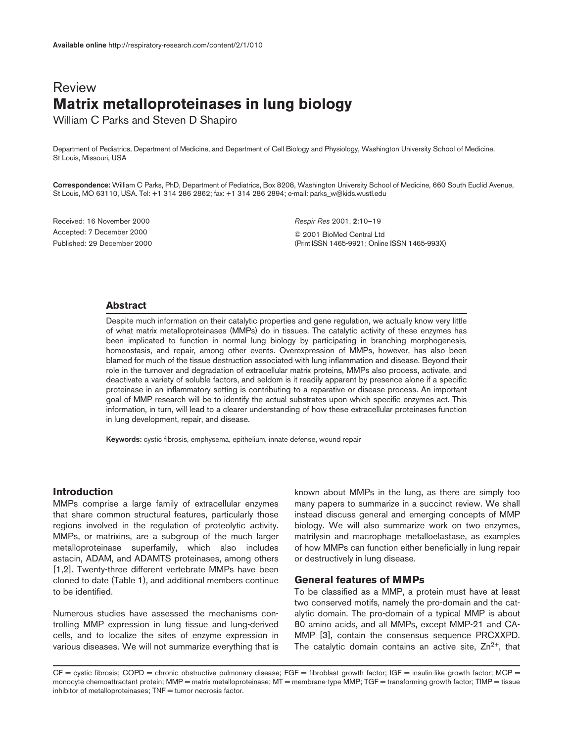# Review **Matrix metalloproteinases in lung biology**

William C Parks and Steven D Shapiro

Department of Pediatrics, Department of Medicine, and Department of Cell Biology and Physiology, Washington University School of Medicine, St Louis, Missouri, USA

**Correspondence:** William C Parks, PhD, Department of Pediatrics, Box 8208, Washington University School of Medicine, 660 South Euclid Avenue, St Louis, MO 63110, USA. Tel: +1 314 286 2862; fax: +1 314 286 2894; e-mail: parks\_w@kids.wustl.edu

Received: 16 November 2000 Accepted: 7 December 2000 Published: 29 December 2000 *Respir Res* 2001, **2**:10–19 © 2001 BioMed Central Ltd (Print ISSN 1465-9921; Online ISSN 1465-993X)

#### **Abstract**

Despite much information on their catalytic properties and gene regulation, we actually know very little of what matrix metalloproteinases (MMPs) do in tissues. The catalytic activity of these enzymes has been implicated to function in normal lung biology by participating in branching morphogenesis, homeostasis, and repair, among other events. Overexpression of MMPs, however, has also been blamed for much of the tissue destruction associated with lung inflammation and disease. Beyond their role in the turnover and degradation of extracellular matrix proteins, MMPs also process, activate, and deactivate a variety of soluble factors, and seldom is it readily apparent by presence alone if a specific proteinase in an inflammatory setting is contributing to a reparative or disease process. An important goal of MMP research will be to identify the actual substrates upon which specific enzymes act. This information, in turn, will lead to a clearer understanding of how these extracellular proteinases function in lung development, repair, and disease.

**Keywords:** cystic fibrosis, emphysema, epithelium, innate defense, wound repair

#### **Introduction**

MMPs comprise a large family of extracellular enzymes that share common structural features, particularly those regions involved in the regulation of proteolytic activity. MMPs, or matrixins, are a subgroup of the much larger metalloproteinase superfamily, which also includes astacin, ADAM, and ADAMTS proteinases, among others [1,2]. Twenty-three different vertebrate MMPs have been cloned to date (Table 1), and additional members continue to be identified.

Numerous studies have assessed the mechanisms controlling MMP expression in lung tissue and lung-derived cells, and to localize the sites of enzyme expression in various diseases. We will not summarize everything that is

known about MMPs in the lung, as there are simply too many papers to summarize in a succinct review. We shall instead discuss general and emerging concepts of MMP biology. We will also summarize work on two enzymes, matrilysin and macrophage metalloelastase, as examples of how MMPs can function either beneficially in lung repair or destructively in lung disease.

## **General features of MMPs**

To be classified as a MMP, a protein must have at least two conserved motifs, namely the pro-domain and the catalytic domain. The pro-domain of a typical MMP is about 80 amino acids, and all MMPs, except MMP-21 and CA-MMP [3], contain the consensus sequence PRCXXPD. The catalytic domain contains an active site,  $Zn^{2+}$ , that

 $CF =$  cystic fibrosis; COPD = chronic obstructive pulmonary disease; FGF = fibroblast growth factor; IGF = insulin-like growth factor; IMCP = monocyte chemoattractant protein; MMP = matrix metalloproteinase; MT = membrane-type MMP; TGF = transforming growth factor; TIMP = tissue inhibitor of metalloproteinases; TNF = tumor necrosis factor.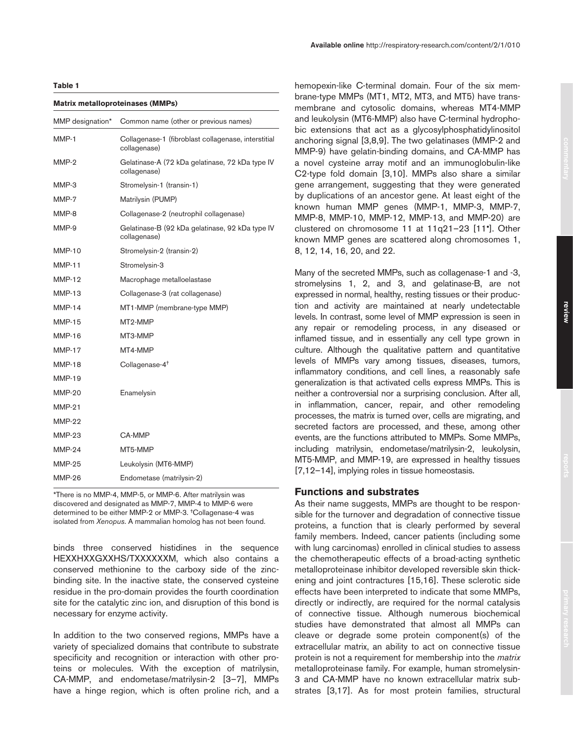#### **Matrix metalloproteinases (MMPs)**

| MMP designation* | Common name (other or previous names)                               |  |
|------------------|---------------------------------------------------------------------|--|
| MMP-1            | Collagenase-1 (fibroblast collagenase, interstitial<br>collagenase) |  |
| MMP-2            | Gelatinase-A (72 kDa gelatinase, 72 kDa type IV<br>collagenase)     |  |
| MMP-3            | Stromelysin-1 (transin-1)                                           |  |
| MMP-7            | Matrilysin (PUMP)                                                   |  |
| MMP-8            | Collagenase-2 (neutrophil collagenase)                              |  |
| MMP-9            | Gelatinase-B (92 kDa gelatinase, 92 kDa type IV<br>collagenase)     |  |
| <b>MMP-10</b>    | Stromelysin-2 (transin-2)                                           |  |
| <b>MMP-11</b>    | Stromelysin-3                                                       |  |
| <b>MMP-12</b>    | Macrophage metalloelastase                                          |  |
| <b>MMP-13</b>    | Collagenase-3 (rat collagenase)                                     |  |
| <b>MMP-14</b>    | MT1-MMP (membrane-type MMP)                                         |  |
| <b>MMP-15</b>    | MT2-MMP                                                             |  |
| <b>MMP-16</b>    | MT3-MMP                                                             |  |
| <b>MMP-17</b>    | MT4-MMP                                                             |  |
| <b>MMP-18</b>    | Collagenase-4 <sup>+</sup>                                          |  |
| <b>MMP-19</b>    |                                                                     |  |
| MMP-20           | Enamelysin                                                          |  |
| <b>MMP-21</b>    |                                                                     |  |
| <b>MMP-22</b>    |                                                                     |  |
| <b>MMP-23</b>    | CA-MMP                                                              |  |
| <b>MMP-24</b>    | MT5-MMP                                                             |  |
| <b>MMP-25</b>    | Leukolysin (MT6-MMP)                                                |  |
| MMP-26           | Endometase (matrilysin-2)                                           |  |
|                  |                                                                     |  |

\*There is no MMP-4, MMP-5, or MMP-6. After matrilysin was discovered and designated as MMP-7, MMP-4 to MMP-6 were determined to be either MMP-2 or MMP-3. †Collagenase-4 was isolated from *Xenopus*. A mammalian homolog has not been found.

binds three conserved histidines in the sequence HEXXHXXGXXHS/TXXXXXXM, which also contains a conserved methionine to the carboxy side of the zincbinding site. In the inactive state, the conserved cysteine residue in the pro-domain provides the fourth coordination site for the catalytic zinc ion, and disruption of this bond is necessary for enzyme activity.

In addition to the two conserved regions, MMPs have a variety of specialized domains that contribute to substrate specificity and recognition or interaction with other proteins or molecules. With the exception of matrilysin, CA-MMP, and endometase/matrilysin-2 [3–7], MMPs have a hinge region, which is often proline rich, and a

hemopexin-like C-terminal domain. Four of the six membrane-type MMPs (MT1, MT2, MT3, and MT5) have transmembrane and cytosolic domains, whereas MT4-MMP and leukolysin (MT6-MMP) also have C-terminal hydrophobic extensions that act as a glycosylphosphatidylinositol anchoring signal [3,8,9]. The two gelatinases (MMP-2 and MMP-9) have gelatin-binding domains, and CA-MMP has a novel cysteine array motif and an immunoglobulin-like C2-type fold domain [3,10]. MMPs also share a similar gene arrangement, suggesting that they were generated by duplications of an ancestor gene. At least eight of the known human MMP genes (MMP-1, MMP-3, MMP-7, MMP-8, MMP-10, MMP-12, MMP-13, and MMP-20) are clustered on chromosome 11 at 11q21–23 [11•]. Other known MMP genes are scattered along chromosomes 1, 8, 12, 14, 16, 20, and 22.

Many of the secreted MMPs, such as collagenase-1 and -3, stromelysins 1, 2, and 3, and gelatinase-B, are not expressed in normal, healthy, resting tissues or their production and activity are maintained at nearly undetectable levels. In contrast, some level of MMP expression is seen in any repair or remodeling process, in any diseased or inflamed tissue, and in essentially any cell type grown in culture. Although the qualitative pattern and quantitative levels of MMPs vary among tissues, diseases, tumors, inflammatory conditions, and cell lines, a reasonably safe generalization is that activated cells express MMPs. This is neither a controversial nor a surprising conclusion. After all, in inflammation, cancer, repair, and other remodeling processes, the matrix is turned over, cells are migrating, and secreted factors are processed, and these, among other events, are the functions attributed to MMPs. Some MMPs, including matrilysin, endometase/matrilysin-2, leukolysin, MT5-MMP, and MMP-19, are expressed in healthy tissues [7,12–14], implying roles in tissue homeostasis.

#### **Functions and substrates**

As their name suggests, MMPs are thought to be responsible for the turnover and degradation of connective tissue proteins, a function that is clearly performed by several family members. Indeed, cancer patients (including some with lung carcinomas) enrolled in clinical studies to assess the chemotherapeutic effects of a broad-acting synthetic metalloproteinase inhibitor developed reversible skin thickening and joint contractures [15,16]. These sclerotic side effects have been interpreted to indicate that some MMPs, directly or indirectly, are required for the normal catalysis of connective tissue. Although numerous biochemical studies have demonstrated that almost all MMPs can cleave or degrade some protein component(s) of the extracellular matrix, an ability to act on connective tissue protein is not a requirement for membership into the *matrix* metalloproteinase family. For example, human stromelysin-3 and CA-MMP have no known extracellular matrix substrates [3,17]. As for most protein families, structural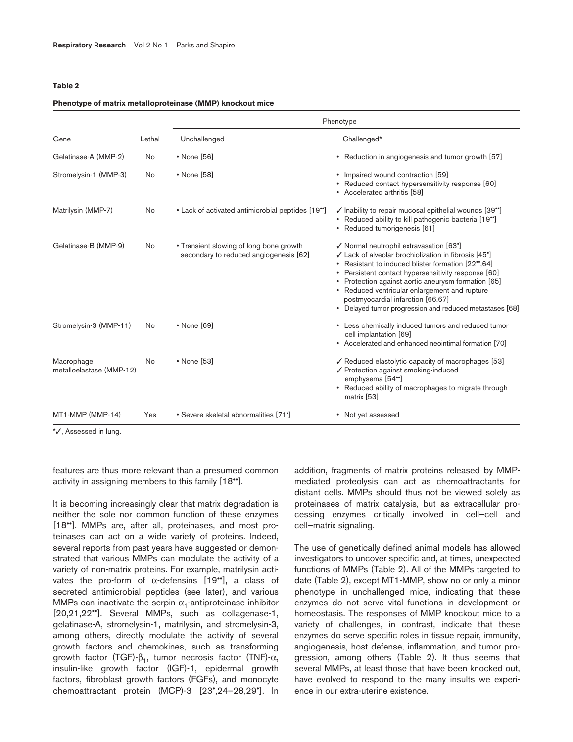#### **Phenotype of matrix metalloproteinase (MMP) knockout mice**

|                                        |        | Phenotype                                                                         |                                                                                                                                                                                                                                                                                                                                                                                                                                     |  |
|----------------------------------------|--------|-----------------------------------------------------------------------------------|-------------------------------------------------------------------------------------------------------------------------------------------------------------------------------------------------------------------------------------------------------------------------------------------------------------------------------------------------------------------------------------------------------------------------------------|--|
| Gene                                   | Lethal | Unchallenged                                                                      | Challenged*                                                                                                                                                                                                                                                                                                                                                                                                                         |  |
| Gelatinase-A (MMP-2)                   | No     | • None [56]                                                                       | • Reduction in angiogenesis and tumor growth [57]                                                                                                                                                                                                                                                                                                                                                                                   |  |
| Stromelysin-1 (MMP-3)                  | No     | • None [58]                                                                       | • Impaired wound contraction [59]<br>Reduced contact hypersensitivity response [60]<br>• Accelerated arthritis [58]                                                                                                                                                                                                                                                                                                                 |  |
| Matrilysin (MMP-7)                     | No     | • Lack of activated antimicrobial peptides [19*]                                  | √ Inability to repair mucosal epithelial wounds [39*]<br>Reduced ability to kill pathogenic bacteria [19"]<br>• Reduced tumorigenesis [61]                                                                                                                                                                                                                                                                                          |  |
| Gelatinase-B (MMP-9)                   | No     | • Transient slowing of long bone growth<br>secondary to reduced angiogenesis [62] | √ Normal neutrophil extravasation [63°]<br>✓ Lack of alveolar brochiolization in fibrosis [45 <sup>•</sup> ]<br>Resistant to induced blister formation [22*,64]<br>٠<br>• Persistent contact hypersensitivity response [60]<br>• Protection against aortic aneurysm formation [65]<br>• Reduced ventricular enlargement and rupture<br>postmyocardial infarction [66,67]<br>• Delayed tumor progression and reduced metastases [68] |  |
| Stromelysin-3 (MMP-11)                 | No     | • None [69]                                                                       | • Less chemically induced tumors and reduced tumor<br>cell implantation [69]<br>• Accelerated and enhanced neointimal formation [70]                                                                                                                                                                                                                                                                                                |  |
| Macrophage<br>metalloelastase (MMP-12) | No     | $\cdot$ None [53]                                                                 | √ Reduced elastolytic capacity of macrophages [53]<br>✔ Protection against smoking-induced<br>emphysema [54"]<br>• Reduced ability of macrophages to migrate through<br>matrix [53]                                                                                                                                                                                                                                                 |  |
| MT1-MMP (MMP-14)                       | Yes    | • Severe skeletal abnormalities [71*]                                             | • Not yet assessed                                                                                                                                                                                                                                                                                                                                                                                                                  |  |

\*✓, Assessed in lung.

features are thus more relevant than a presumed common activity in assigning members to this family [18••].

It is becoming increasingly clear that matrix degradation is neither the sole nor common function of these enzymes [18••]. MMPs are, after all, proteinases, and most proteinases can act on a wide variety of proteins. Indeed, several reports from past years have suggested or demonstrated that various MMPs can modulate the activity of a variety of non-matrix proteins. For example, matrilysin activates the pro-form of  $\alpha$ -defensins [19••], a class of secreted antimicrobial peptides (see later), and various MMPs can inactivate the serpin  $\alpha_1$ -antiproteinase inhibitor [20,21,22••]. Several MMPs, such as collagenase-1, gelatinase-A, stromelysin-1, matrilysin, and stromelysin-3, among others, directly modulate the activity of several growth factors and chemokines, such as transforming growth factor (TGF)- $β_1$ , tumor necrosis factor (TNF)- $α$ , insulin-like growth factor (IGF)-1, epidermal growth factors, fibroblast growth factors (FGFs), and monocyte chemoattractant protein (MCP)-3 [23•,24–28,29•]. In

addition, fragments of matrix proteins released by MMPmediated proteolysis can act as chemoattractants for distant cells. MMPs should thus not be viewed solely as proteinases of matrix catalysis, but as extracellular processing enzymes critically involved in cell–cell and cell–matrix signaling.

The use of genetically defined animal models has allowed investigators to uncover specific and, at times, unexpected functions of MMPs (Table 2). All of the MMPs targeted to date (Table 2), except MT1-MMP, show no or only a minor phenotype in unchallenged mice, indicating that these enzymes do not serve vital functions in development or homeostasis. The responses of MMP knockout mice to a variety of challenges, in contrast, indicate that these enzymes do serve specific roles in tissue repair, immunity, angiogenesis, host defense, inflammation, and tumor progression, among others (Table 2). It thus seems that several MMPs, at least those that have been knocked out, have evolved to respond to the many insults we experience in our extra-uterine existence.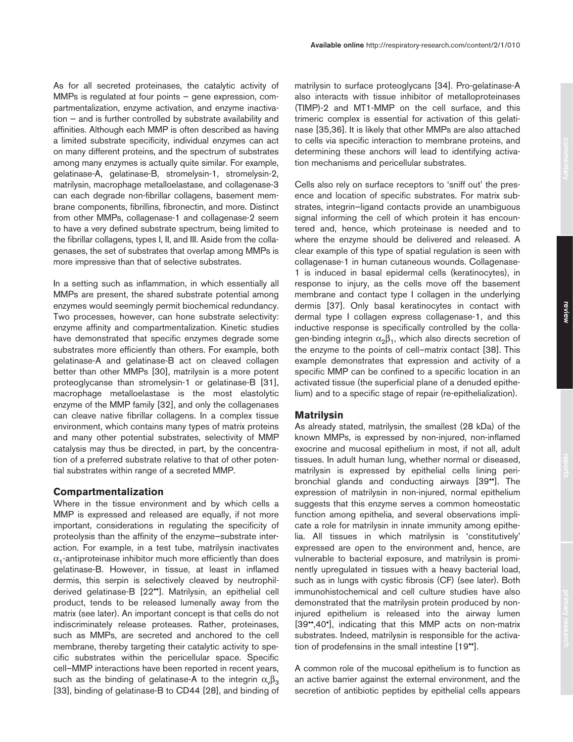As for all secreted proteinases, the catalytic activity of MMPs is regulated at four points — gene expression, compartmentalization, enzyme activation, and enzyme inactivation — and is further controlled by substrate availability and affinities. Although each MMP is often described as having a limited substrate specificity, individual enzymes can act on many different proteins, and the spectrum of substrates among many enzymes is actually quite similar. For example, gelatinase-A, gelatinase-B, stromelysin-1, stromelysin-2, matrilysin, macrophage metalloelastase, and collagenase-3 can each degrade non-fibrillar collagens, basement membrane components, fibrillins, fibronectin, and more. Distinct from other MMPs, collagenase-1 and collagenase-2 seem to have a very defined substrate spectrum, being limited to the fibrillar collagens, types I, II, and III. Aside from the collagenases, the set of substrates that overlap among MMPs is more impressive than that of selective substrates.

In a setting such as inflammation, in which essentially all MMPs are present, the shared substrate potential among enzymes would seemingly permit biochemical redundancy. Two processes, however, can hone substrate selectivity: enzyme affinity and compartmentalization. Kinetic studies have demonstrated that specific enzymes degrade some substrates more efficiently than others. For example, both gelatinase-A and gelatinase-B act on cleaved collagen better than other MMPs [30], matrilysin is a more potent proteoglycanse than stromelysin-1 or gelatinase-B [31], macrophage metalloelastase is the most elastolytic enzyme of the MMP family [32], and only the collagenases can cleave native fibrillar collagens. In a complex tissue environment, which contains many types of matrix proteins and many other potential substrates, selectivity of MMP catalysis may thus be directed, in part, by the concentration of a preferred substrate relative to that of other potential substrates within range of a secreted MMP.

## **Compartmentalization**

Where in the tissue environment and by which cells a MMP is expressed and released are equally, if not more important, considerations in regulating the specificity of proteolysis than the affinity of the enzyme–substrate interaction. For example, in a test tube, matrilysin inactivates  $\alpha_1$ -antiproteinase inhibitor much more efficiently than does gelatinase-B. However, in tissue, at least in inflamed dermis, this serpin is selectively cleaved by neutrophilderived gelatinase-B [22••]. Matrilysin, an epithelial cell product, tends to be released lumenally away from the matrix (see later). An important concept is that cells do not indiscriminately release proteases. Rather, proteinases, such as MMPs, are secreted and anchored to the cell membrane, thereby targeting their catalytic activity to specific substrates within the pericellular space. Specific cell–MMP interactions have been reported in recent years, such as the binding of gelatinase-A to the integrin  $\alpha_{\nu}\beta_3$ [33], binding of gelatinase-B to CD44 [28], and binding of

matrilysin to surface proteoglycans [34]. Pro-gelatinase-A also interacts with tissue inhibitor of metalloproteinases (TIMP)-2 and MT1-MMP on the cell surface, and this trimeric complex is essential for activation of this gelatinase [35,36]. It is likely that other MMPs are also attached to cells via specific interaction to membrane proteins, and determining these anchors will lead to identifying activation mechanisms and pericellular substrates.

Cells also rely on surface receptors to 'sniff out' the presence and location of specific substrates. For matrix substrates, integrin–ligand contacts provide an unambiguous signal informing the cell of which protein it has encountered and, hence, which proteinase is needed and to where the enzyme should be delivered and released. A clear example of this type of spatial regulation is seen with collagenase-1 in human cutaneous wounds. Collagenase-1 is induced in basal epidermal cells (keratinocytes), in response to injury, as the cells move off the basement membrane and contact type I collagen in the underlying dermis [37]. Only basal keratinocytes in contact with dermal type I collagen express collagenase-1, and this inductive response is specifically controlled by the collagen-binding integrin  $\alpha_2\beta_1$ , which also directs secretion of the enzyme to the points of cell–matrix contact [38]. This example demonstrates that expression and activity of a specific MMP can be confined to a specific location in an activated tissue (the superficial plane of a denuded epithelium) and to a specific stage of repair (re-epithelialization).

## **Matrilysin**

As already stated, matrilysin, the smallest (28 kDa) of the known MMPs, is expressed by non-injured, non-inflamed exocrine and mucosal epithelium in most, if not all, adult tissues. In adult human lung, whether normal or diseased, matrilysin is expressed by epithelial cells lining peribronchial glands and conducting airways [39••]. The expression of matrilysin in non-injured, normal epithelium suggests that this enzyme serves a common homeostatic function among epithelia, and several observations implicate a role for matrilysin in innate immunity among epithelia. All tissues in which matrilysin is 'constitutively' expressed are open to the environment and, hence, are vulnerable to bacterial exposure, and matrilysin is prominently upregulated in tissues with a heavy bacterial load, such as in lungs with cystic fibrosis (CF) (see later). Both immunohistochemical and cell culture studies have also demonstrated that the matrilysin protein produced by noninjured epithelium is released into the airway lumen [39••,40•], indicating that this MMP acts on non-matrix substrates. Indeed, matrilysin is responsible for the activation of prodefensins in the small intestine [19••].

A common role of the mucosal epithelium is to function as an active barrier against the external environment, and the secretion of antibiotic peptides by epithelial cells appears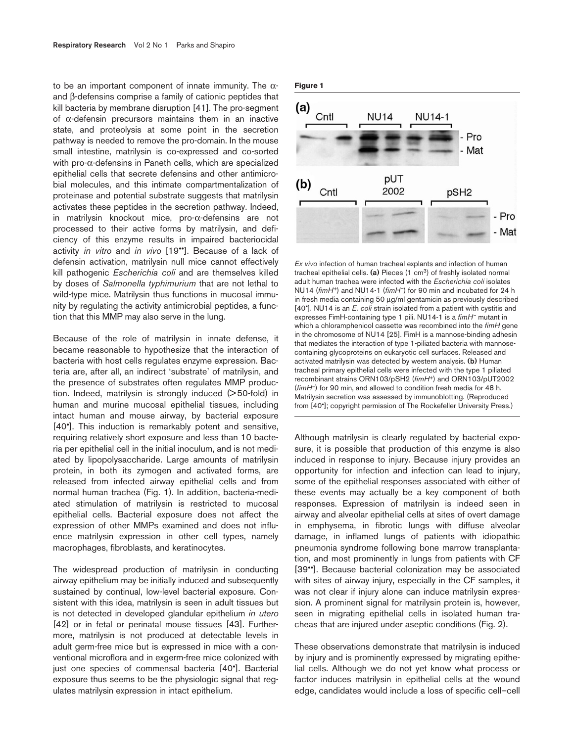to be an important component of innate immunity. The  $\alpha$ and β-defensins comprise a family of cationic peptides that kill bacteria by membrane disruption [41]. The pro-segment of α-defensin precursors maintains them in an inactive state, and proteolysis at some point in the secretion pathway is needed to remove the pro-domain. In the mouse small intestine, matrilysin is co-expressed and co-sorted with pro-α-defensins in Paneth cells, which are specialized epithelial cells that secrete defensins and other antimicrobial molecules, and this intimate compartmentalization of proteinase and potential substrate suggests that matrilysin activates these peptides in the secretion pathway. Indeed, in matrilysin knockout mice, pro-α-defensins are not processed to their active forms by matrilysin, and deficiency of this enzyme results in impaired bacteriocidal activity *in vitro* and *in vivo* [19••]. Because of a lack of defensin activation, matrilysin null mice cannot effectively kill pathogenic *Escherichia coli* and are themselves killed by doses of *Salmonella typhimurium* that are not lethal to wild-type mice. Matrilysin thus functions in mucosal immunity by regulating the activity antimicrobial peptides, a function that this MMP may also serve in the lung.

Because of the role of matrilysin in innate defense, it became reasonable to hypothesize that the interaction of bacteria with host cells regulates enzyme expression. Bacteria are, after all, an indirect 'substrate' of matrilysin, and the presence of substrates often regulates MMP production. Indeed, matrilysin is strongly induced (> 50-fold) in human and murine mucosal epithelial tissues, including intact human and mouse airway, by bacterial exposure [40•]. This induction is remarkably potent and sensitive, requiring relatively short exposure and less than 10 bacteria per epithelial cell in the initial inoculum, and is not mediated by lipopolysaccharide. Large amounts of matrilysin protein, in both its zymogen and activated forms, are released from infected airway epithelial cells and from normal human trachea (Fig. 1). In addition, bacteria-mediated stimulation of matrilysin is restricted to mucosal epithelial cells. Bacterial exposure does not affect the expression of other MMPs examined and does not influence matrilysin expression in other cell types, namely macrophages, fibroblasts, and keratinocytes.

The widespread production of matrilysin in conducting airway epithelium may be initially induced and subsequently sustained by continual, low-level bacterial exposure. Consistent with this idea, matrilysin is seen in adult tissues but is not detected in developed glandular epithelium *in utero* [42] or in fetal or perinatal mouse tissues [43]. Furthermore, matrilysin is not produced at detectable levels in adult germ-free mice but is expressed in mice with a conventional microflora and in exgerm-free mice colonized with just one species of commensal bacteria [40•]. Bacterial exposure thus seems to be the physiologic signal that regulates matrilysin expression in intact epithelium.





*Ex vivo* infection of human tracheal explants and infection of human tracheal epithelial cells. **(a)** Pieces (1 cm3) of freshly isolated normal adult human trachea were infected with the *Escherichia coli* isolates NU14 (*fimH+*) and NU14-1 (*fimH–*) for 90 min and incubated for 24 h in fresh media containing 50 µg/ml gentamicin as previously described [40•]. NU14 is an *E. coli* strain isolated from a patient with cystitis and expresses FimH-containing type 1 pili. NU14-1 is a *fimH–* mutant in which a chloramphenicol cassette was recombined into the *fimH* gene in the chromosome of NU14 [25]. FimH is a mannose-binding adhesin that mediates the interaction of type 1-piliated bacteria with mannosecontaining glycoproteins on eukaryotic cell surfaces. Released and activated matrilysin was detected by western analysis. **(b)** Human tracheal primary epithelial cells were infected with the type 1 piliated recombinant strains ORN103/pSH2 (*fimH*+) and ORN103/pUT2002 (*fimH*–) for 90 min, and allowed to condition fresh media for 48 h. Matrilysin secretion was assessed by immunoblotting. (Reproduced from [40•]; copyright permission of The Rockefeller University Press.)

Although matrilysin is clearly regulated by bacterial exposure, it is possible that production of this enzyme is also induced in response to injury. Because injury provides an opportunity for infection and infection can lead to injury, some of the epithelial responses associated with either of these events may actually be a key component of both responses. Expression of matrilysin is indeed seen in airway and alveolar epithelial cells at sites of overt damage in emphysema, in fibrotic lungs with diffuse alveolar damage, in inflamed lungs of patients with idiopathic pneumonia syndrome following bone marrow transplantation, and most prominently in lungs from patients with CF [39\*]. Because bacterial colonization may be associated with sites of airway injury, especially in the CF samples, it was not clear if injury alone can induce matrilysin expression. A prominent signal for matrilysin protein is, however, seen in migrating epithelial cells in isolated human tracheas that are injured under aseptic conditions (Fig. 2).

These observations demonstrate that matrilysin is induced by injury and is prominently expressed by migrating epithelial cells. Although we do not yet know what process or factor induces matrilysin in epithelial cells at the wound edge, candidates would include a loss of specific cell–cell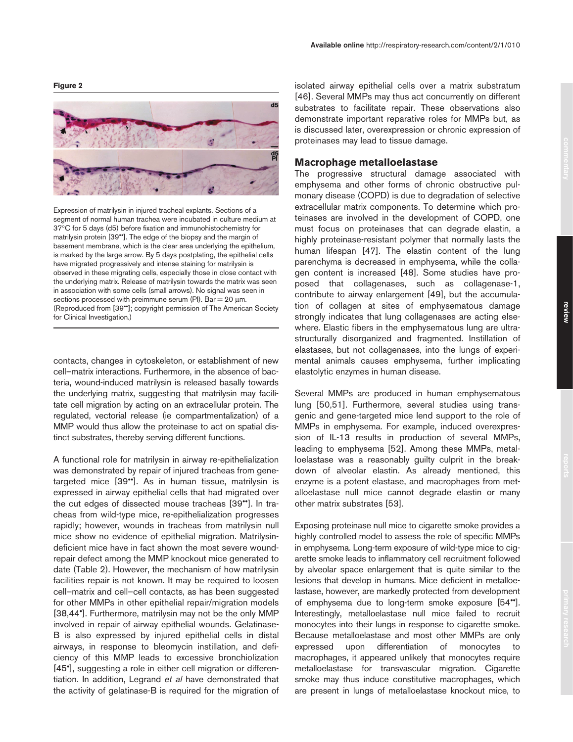**Figure 2**



Expression of matrilysin in injured tracheal explants. Sections of a segment of normal human trachea were incubated in culture medium at 37°C for 5 days (d5) before fixation and immunohistochemistry for matrilysin protein [39••]. The edge of the biopsy and the margin of basement membrane, which is the clear area underlying the epithelium, is marked by the large arrow. By 5 days postplating, the epithelial cells have migrated progressively and intense staining for matrilysin is observed in these migrating cells, especially those in close contact with the underlying matrix. Release of matrilysin towards the matrix was seen in association with some cells (small arrows). No signal was seen in sections processed with preimmune serum (PI). Bar =  $20 \mu m$ . (Reproduced from [39••]; copyright permission of The American Society for Clinical Investigation.)

contacts, changes in cytoskeleton, or establishment of new cell–matrix interactions. Furthermore, in the absence of bacteria, wound-induced matrilysin is released basally towards the underlying matrix, suggesting that matrilysin may facilitate cell migration by acting on an extracellular protein. The regulated, vectorial release (ie compartmentalization) of a MMP would thus allow the proteinase to act on spatial distinct substrates, thereby serving different functions.

A functional role for matrilysin in airway re-epithelialization was demonstrated by repair of injured tracheas from genetargeted mice [39••]. As in human tissue, matrilysin is expressed in airway epithelial cells that had migrated over the cut edges of dissected mouse tracheas [39••]. In tracheas from wild-type mice, re-epithelialization progresses rapidly; however, wounds in tracheas from matrilysin null mice show no evidence of epithelial migration. Matrilysindeficient mice have in fact shown the most severe woundrepair defect among the MMP knockout mice generated to date (Table 2). However, the mechanism of how matrilysin facilities repair is not known. It may be required to loosen cell–matrix and cell–cell contacts, as has been suggested for other MMPs in other epithelial repair/migration models [38,44•]. Furthermore, matrilysin may not be the only MMP involved in repair of airway epithelial wounds. Gelatinase-B is also expressed by injured epithelial cells in distal airways, in response to bleomycin instillation, and deficiency of this MMP leads to excessive bronchiolization [45•], suggesting a role in either cell migration or differentiation. In addition, Legrand *et al* have demonstrated that the activity of gelatinase-B is required for the migration of

isolated airway epithelial cells over a matrix substratum [46]. Several MMPs may thus act concurrently on different substrates to facilitate repair. These observations also demonstrate important reparative roles for MMPs but, as is discussed later, overexpression or chronic expression of proteinases may lead to tissue damage.

**Available online** http://respiratory-research.com/content/2/1/010

## **Macrophage metalloelastase**

The progressive structural damage associated with emphysema and other forms of chronic obstructive pulmonary disease (COPD) is due to degradation of selective extracellular matrix components. To determine which proteinases are involved in the development of COPD, one must focus on proteinases that can degrade elastin, a highly proteinase-resistant polymer that normally lasts the human lifespan [47]. The elastin content of the lung parenchyma is decreased in emphysema, while the collagen content is increased [48]. Some studies have proposed that collagenases, such as collagenase-1, contribute to airway enlargement [49], but the accumulation of collagen at sites of emphysematous damage strongly indicates that lung collagenases are acting elsewhere. Elastic fibers in the emphysematous lung are ultrastructurally disorganized and fragmented. Instillation of elastases, but not collagenases, into the lungs of experimental animals causes emphysema, further implicating elastolytic enzymes in human disease.

Several MMPs are produced in human emphysematous lung [50,51]. Furthermore, several studies using transgenic and gene-targeted mice lend support to the role of MMPs in emphysema. For example, induced overexpression of IL-13 results in production of several MMPs, leading to emphysema [52]. Among these MMPs, metalloelastase was a reasonably guilty culprit in the breakdown of alveolar elastin. As already mentioned, this enzyme is a potent elastase, and macrophages from metalloelastase null mice cannot degrade elastin or many other matrix substrates [53].

Exposing proteinase null mice to cigarette smoke provides a highly controlled model to assess the role of specific MMPs in emphysema. Long-term exposure of wild-type mice to cigarette smoke leads to inflammatory cell recruitment followed by alveolar space enlargement that is quite similar to the lesions that develop in humans. Mice deficient in metalloelastase, however, are markedly protected from development of emphysema due to long-term smoke exposure [54••]. Interestingly, metalloelastase null mice failed to recruit monocytes into their lungs in response to cigarette smoke. Because metalloelastase and most other MMPs are only expressed upon differentiation of monocytes to macrophages, it appeared unlikely that monocytes require metalloelastase for transvascular migration. Cigarette smoke may thus induce constitutive macrophages, which are present in lungs of metalloelastase knockout mice, to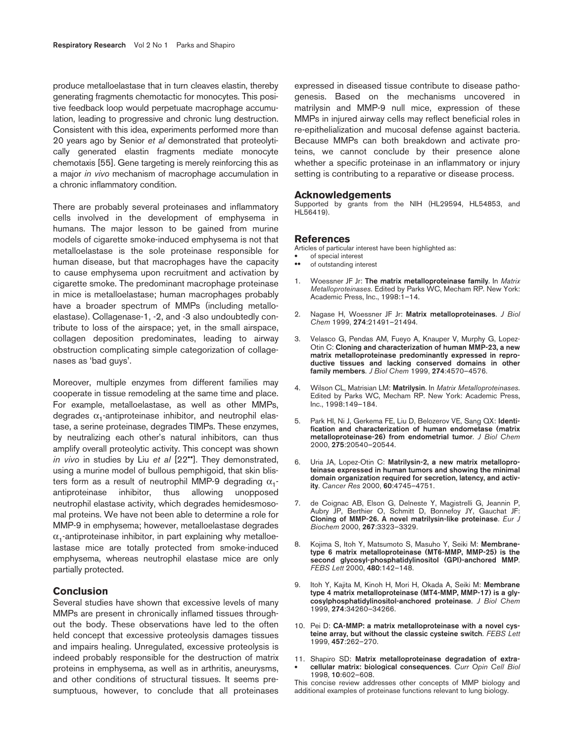produce metalloelastase that in turn cleaves elastin, thereby generating fragments chemotactic for monocytes. This positive feedback loop would perpetuate macrophage accumulation, leading to progressive and chronic lung destruction. Consistent with this idea, experiments performed more than 20 years ago by Senior *et al* demonstrated that proteolytically generated elastin fragments mediate monocyte chemotaxis [55]. Gene targeting is merely reinforcing this as a major *in vivo* mechanism of macrophage accumulation in a chronic inflammatory condition.

There are probably several proteinases and inflammatory cells involved in the development of emphysema in humans. The major lesson to be gained from murine models of cigarette smoke-induced emphysema is not that metalloelastase is the sole proteinase responsible for human disease, but that macrophages have the capacity to cause emphysema upon recruitment and activation by cigarette smoke. The predominant macrophage proteinase in mice is metalloelastase; human macrophages probably have a broader spectrum of MMPs (including metalloelastase). Collagenase-1, -2, and -3 also undoubtedly contribute to loss of the airspace; yet, in the small airspace, collagen deposition predominates, leading to airway obstruction complicating simple categorization of collagenases as 'bad guys'.

Moreover, multiple enzymes from different families may cooperate in tissue remodeling at the same time and place. For example, metalloelastase, as well as other MMPs, degrades  $\alpha_1$ -antiproteinase inhibitor, and neutrophil elastase, a serine proteinase, degrades TIMPs. These enzymes, by neutralizing each other's natural inhibitors, can thus amplify overall proteolytic activity. This concept was shown *in vivo* in studies by Liu *et al* [22••]. They demonstrated, using a murine model of bullous pemphigoid, that skin blisters form as a result of neutrophil MMP-9 degrading  $\alpha_1$ antiproteinase inhibitor, thus allowing unopposed neutrophil elastase activity, which degrades hemidesmosomal proteins. We have not been able to determine a role for MMP-9 in emphysema; however, metalloelastase degrades  $\alpha_1$ -antiproteinase inhibitor, in part explaining why metalloelastase mice are totally protected from smoke-induced emphysema, whereas neutrophil elastase mice are only partially protected.

## **Conclusion**

Several studies have shown that excessive levels of many MMPs are present in chronically inflamed tissues throughout the body. These observations have led to the often held concept that excessive proteolysis damages tissues and impairs healing. Unregulated, excessive proteolysis is indeed probably responsible for the destruction of matrix proteins in emphysema, as well as in arthritis, aneurysms, and other conditions of structural tissues. It seems presumptuous, however, to conclude that all proteinases expressed in diseased tissue contribute to disease pathogenesis. Based on the mechanisms uncovered in matrilysin and MMP-9 null mice, expression of these MMPs in injured airway cells may reflect beneficial roles in re-epithelialization and mucosal defense against bacteria. Because MMPs can both breakdown and activate proteins, we cannot conclude by their presence alone whether a specific proteinase in an inflammatory or injury setting is contributing to a reparative or disease process.

#### **Acknowledgements**

Supported by grants from the NIH (HL29594, HL54853, and HL56419).

#### **References**

Articles of particular interest have been highlighted as:

- of special interest
- of outstanding interest
- 1. Woessner JF Jr: **The matrix metalloproteinase family**. In *Matrix Metalloproteinases*. Edited by Parks WC, Mecham RP. New York: Academic Press, Inc., 1998:1–14.
- 2. Nagase H, Woessner JF Jr: **Matrix metalloproteinases**. *J Biol Chem* 1999, **274**:21491–21494.
- 3. Velasco G, Pendas AM, Fueyo A, Knauper V, Murphy G, Lopez-Otin C: **Cloning and characterization of human MMP-23, a new matrix metalloproteinase predominantly expressed in reproductive tissues and lacking conserved domains in other family members**. *J Biol Chem* 1999, **274**:4570–4576.
- 4. Wilson CL, Matrisian LM: **Matrilysin**. In *Matrix Metalloproteinases*. Edited by Parks WC, Mecham RP. New York: Academic Press, Inc., 1998:149–184.
- 5. Park HI, Ni J, Gerkema FE, Liu D, Belozerov VE, Sang QX: **Identification and characterization of human endometase (matrix metalloproteinase-26) from endometrial tumor**. *J Biol Chem* 2000, **275**:20540–20544.
- 6. Uria JA, Lopez-Otin C: **Matrilysin-2, a new matrix metalloproteinase expressed in human tumors and showing the minimal domain organization required for secretion, latency, and activity**. *Cancer Res* 2000, **60**:4745–4751.
- 7. de Coignac AB, Elson G, Delneste Y, Magistrelli G, Jeannin P, Aubry JP, Berthier O, Schmitt D, Bonnefoy JY, Gauchat JF: **Cloning of MMP-26. A novel matrilysin-like proteinase**. *Eur J Biochem* 2000, **267**:3323–3329.
- 8. Kojima S, Itoh Y, Matsumoto S, Masuho Y, Seiki M: **Membranetype 6 matrix metalloproteinase (MT6-MMP, MMP-25) is the second glycosyl-phosphatidylinositol (GPI)-anchored MMP**. *FEBS Lett* 2000, **480**:142–148.
- 9. Itoh Y, Kajita M, Kinoh H, Mori H, Okada A, Seiki M: **Membrane type 4 matrix metalloproteinase (MT4-MMP, MMP-17) is a glycosylphosphatidylinositol-anchored proteinase**. *J Biol Chem* 1999, **274**:34260–34266.
- 10. Pei D: **CA-MMP: a matrix metalloproteinase with a novel cysteine array, but without the classic cysteine switch**. *FEBS Lett* 1999, **457**:262–270.
- 11. Shapiro SD: **Matrix metalloproteinase degradation of extra-** • **cellular matrix: biological consequences**. *Curr Opin Cell Biol* 1998, **10**:602–608.

This concise review addresses other concepts of MMP biology and additional examples of proteinase functions relevant to lung biology.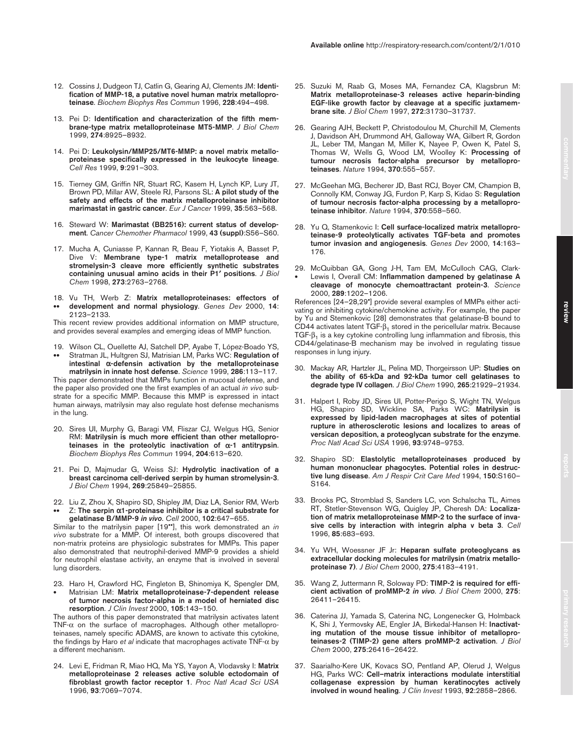- 12. Cossins J, Dudgeon TJ, Catlin G, Gearing AJ, Clements JM: **Identification of MMP-18, a putative novel human matrix metalloproteinase**. *Biochem Biophys Res Commun* 1996, **228**:494–498.
- 13. Pei D: **Identification and characterization of the fifth membrane-type matrix metalloproteinase MT5-MMP**. *J Biol Chem* 1999, **274**:8925–8932.
- 14. Pei D: **Leukolysin/MMP25/MT6-MMP: a novel matrix metalloproteinase specifically expressed in the leukocyte lineage**. *Cell Res* 1999, **9**:291–303.
- 15. Tierney GM, Griffin NR, Stuart RC, Kasem H, Lynch KP, Lury JT, Brown PD, Millar AW, Steele RJ, Parsons SL: **A pilot study of the safety and effects of the matrix metalloproteinase inhibitor marimastat in gastric cancer**. *Eur J Cancer* 1999, **35**:563–568.
- 16. Steward W: **Marimastat (BB2516): current status of development**. *Cancer Chemother Pharmacol* 1999, **43 (suppl)**:S56–S60.
- 17. Mucha A, Cuniasse P, Kannan R, Beau F, Yiotakis A, Basset P, Dive V: **Membrane type-1 matrix metalloprotease and stromelysin-3 cleave more efficiently synthetic substrates containing unusual amino acids in their P1**′ **positions**. *J Biol Chem* 1998, **273**:2763–2768.
- 18. Vu TH, Werb Z: **Matrix metalloproteinases: effectors of**  •• **development and normal physiology**. *Genes Dev* 2000, **14**: 2123–2133.

This recent review provides additional information on MMP structure, and provides several examples and emerging ideas of MMP function.

19. Wilson CL, Ouellette AJ, Satchell DP, Ayabe T, López-Boado YS, •• Stratman JL, Hultgren SJ, Matrisian LM, Parks WC: **Regulation of intestinal** α**-defensin activation by the metalloproteinase** 

**matrilysin in innate host defense**. *Science* 1999, **286**:113–117. This paper demonstrated that MMPs function in mucosal defense, and the paper also provided one the first examples of an actual *in vivo* substrate for a specific MMP. Because this MMP is expressed in intact human airways, matrilysin may also regulate host defense mechanisms in the lung.

- 20. Sires UI, Murphy G, Baragi VM, Fliszar CJ, Welgus HG, Senior RM: **Matrilysin is much more efficient than other metalloproteinases in the proteolytic inactivation of** α**-1 antitrypsin**. *Biochem Biophys Res Commun* 1994, **204**:613–620.
- 21. Pei D, Majmudar G, Weiss SJ: **Hydrolytic inactivation of a breast carcinoma cell-derived serpin by human stromelysin-3**. *J Biol Chem* 1994, **269**:25849–25855.
- 22. Liu Z, Zhou X, Shapiro SD, Shipley JM, Diaz LA, Senior RM, Werb •• Z: **The serpin** α**1-proteinase inhibitor is a critical substrate for**

**gelatinase B/MMP-9** *in vivo*. *Cell* 2000, **102**:647–655. Similar to the matrilysin paper [19••], this work demonstrated an *in vivo* substrate for a MMP. Of interest, both groups discovered that non-matrix proteins are physiologic substrates for MMPs. This paper also demonstrated that neutrophil-derived MMP-9 provides a shield for neutrophil elastase activity, an enzyme that is involved in several lung disorders.

- 23. Haro H, Crawford HC, Fingleton B, Shinomiya K, Spengler DM,
- Matrisian LM: **Matrix metalloproteinase-7-dependent release of tumor necrosis factor-alpha in a model of herniated disc resorption**. *J Clin Invest* 2000, **105**:143–150.

The authors of this paper demonstrated that matrilysin activates latent TNF- $\alpha$  on the surface of macrophages. Although other metalloproteinases, namely specific ADAMS, are known to activate this cytokine, the findings by Haro *et al* indicate that macrophages activate TNF-α by a different mechanism.

24. Levi E, Fridman R, Miao HQ, Ma YS, Yayon A, Vlodavsky I: **Matrix metalloproteinase 2 releases active soluble ectodomain of fibroblast growth factor receptor 1**. *Proc Natl Acad Sci USA* 1996, **93**:7069–7074.

- 25. Suzuki M, Raab G, Moses MA, Fernandez CA, Klagsbrun M: **Matrix metalloproteinase-3 releases active heparin-binding EGF-like growth factor by cleavage at a specific juxtamembrane site**. *J Biol Chem* 1997, **272**:31730–31737.
- 26. Gearing AJH, Beckett P, Christodoulou M, Churchill M, Clements J, Davidson AH, Drummond AH, Galloway WA, Gilbert R, Gordon JL, Leber TM, Mangan M, Miller K, Nayee P, Owen K, Patel S, Thomas W, Wells G, Wood LM, Woolley K: **Processing of tumour necrosis factor-alpha precursor by metalloproteinases**. *Nature* 1994, **370**:555–557.
- 27. McGeehan MG, Becherer JD, Bast RCJ, Boyer CM, Champion B, Connolly KM, Conway JG, Furdon P, Karp S, Kidao S: **Regulation of tumour necrosis factor-alpha processing by a metalloproteinase inhibitor**. *Nature* 1994, **370**:558–560.
- 28. Yu Q, Stamenkovic I: **Cell surface-localized matrix metalloproteinase-9 proteolytically activates TGF-beta and promotes tumor invasion and angiogenesis**. *Genes Dev* 2000, **14**:163– 176.
- 29. McQuibban GA, Gong J-H, Tam EM, McCulloch CAG, Clark- • Lewis I, Overall CM: **Inflammation dampened by gelatinase A cleavage of monocyte chemoattractant protein-3**. *Science*  2000, **289**:1202–1206.

References [24–28,29•] provide several examples of MMPs either activating or inhibiting cytokine/chemokine activity. For example, the paper by Yu and Stemenkovic [28] demonstrates that gelatinase-B bound to CD44 activates latent TGF- $\beta_1$  stored in the pericellular matrix. Because TGF- $\beta_1$  is a key cytokine controlling lung inflammation and fibrosis, this CD44/gelatinase-B mechanism may be involved in regulating tissue responses in lung injury.

- 30. Mackay AR, Hartzler JL, Pelina MD, Thorgeirsson UP: **Studies on the ability of 65-kDa and 92-kDa tumor cell gelatinases to degrade type IV collagen**. *J Biol Chem* 1990, **265**:21929–21934.
- 31. Halpert I, Roby JD, Sires UI, Potter-Perigo S, Wight TN, Welgus HG, Shapiro SD, Wickline SA, Parks WC: **Matrilysin is expressed by lipid-laden macrophages at sites of potential rupture in atherosclerotic lesions and localizes to areas of versican deposition, a proteoglycan substrate for the enzyme**. *Proc Natl Acad Sci USA* 1996, **93**:9748–9753.
- 32. Shapiro SD: **Elastolytic metalloproteinases produced by human mononuclear phagocytes. Potential roles in destructive lung disease**. *Am J Respir Crit Care Med* 1994, **150**:S160– S164.
- 33. Brooks PC, Stromblad S, Sanders LC, von Schalscha TL, Aimes RT, Stetler-Stevenson WG, Quigley JP, Cheresh DA: **Localization of matrix metalloproteinase MMP-2 to the surface of invasive cells by interaction with integrin alpha v beta 3**. *Cell* 1996, **85**:683–693.
- 34. Yu WH, Woessner JF Jr: **Heparan sulfate proteoglycans as extracellular docking molecules for matrilysin (matrix metalloproteinase 7)**. *J Biol Chem* 2000, **275**:4183–4191.
- 35. Wang Z, Juttermann R, Soloway PD: **TIMP-2 is required for efficient activation of proMMP-2** *in vivo*. *J Biol Chem* 2000, **275**: 26411–26415.
- 36. Caterina JJ, Yamada S, Caterina NC, Longenecker G, Holmback K, Shi J, Yermovsky AE, Engler JA, Birkedal-Hansen H: **Inactivating mutation of the mouse tissue inhibitor of metalloproteinases-2 (TIMP-2) gene alters proMMP-2 activation**. *J Biol Chem* 2000, **275**:26416–26422.
- 37. Saarialho-Kere UK, Kovacs SO, Pentland AP, Olerud J, Welgus HG, Parks WC: **Cell–matrix interactions modulate interstitial collagenase expression by human keratinocytes actively involved in wound healing**. *J Clin Invest* 1993, **92**:2858–2866.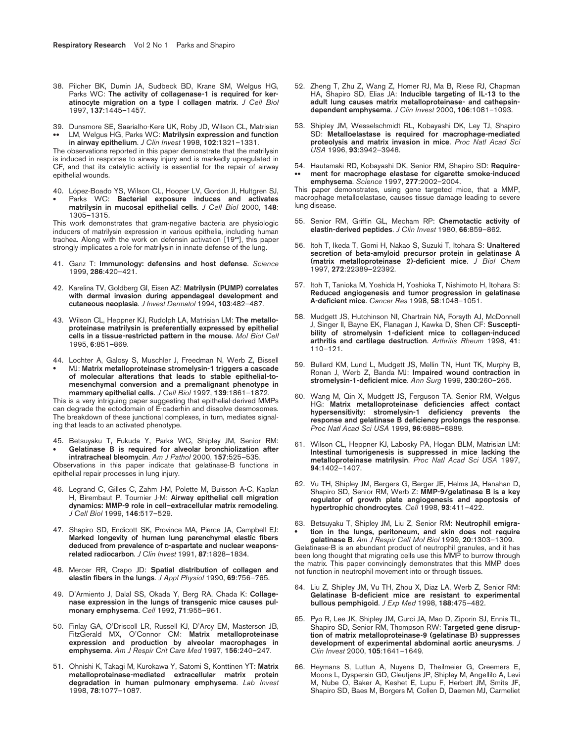- 38. Pilcher BK, Dumin JA, Sudbeck BD, Krane SM, Welgus HG, Parks WC: **The activity of collagenase-1 is required for keratinocyte migration on a type I collagen matrix**. *J Cell Biol* 1997, **137**:1445–1457.
- 39. Dunsmore SE, Saarialho-Kere UK, Roby JD, Wilson CL, Matrisian •• LM, Welgus HG, Parks WC: **Matrilysin expression and function in airway epithelium**. *J Clin Invest* 1998, **102**:1321–1331.

The observations reported in this paper demonstrate that the matrilysin is induced in response to airway injury and is markedly upregulated in CF, and that its catalytic activity is essential for the repair of airway epithelial wounds.

40. López-Boado YS, Wilson CL, Hooper LV, Gordon JI, Hultgren SJ, • Parks WC: **Bacterial exposure induces and activates matrilysin in mucosal epithelial cells**. *J Cell Biol* 2000, **148**: 1305–1315.

This work demonstrates that gram-negative bacteria are physiologic inducers of matrilysin expression in various epithelia, including human trachea. Along with the work on defensin activation [19••], this paper strongly implicates a role for matrilysin in innate defense of the lung.

- 41. Ganz T: **Immunology: defensins and host defense**. *Science* 1999, **286**:420–421.
- 42. Karelina TV, Goldberg GI, Eisen AZ: **Matrilysin (PUMP) correlates with dermal invasion during appendageal development and cutaneous neoplasia**. *J Invest Dermatol* 1994, **103**:482–487.
- 43. Wilson CL, Heppner KJ, Rudolph LA, Matrisian LM: **The metalloproteinase matrilysin is preferentially expressed by epithelial cells in a tissue-restricted pattern in the mouse**. *Mol Biol Cell* 1995, **6**:851–869.
- 44. Lochter A, Galosy S, Muschler J, Freedman N, Werb Z, Bissell • MJ: **Matrix metalloproteinase stromelysin-1 triggers a cascade of molecular alterations that leads to stable epithelial-tomesenchymal conversion and a premalignant phenotype in mammary epithelial cells**. *J Cell Biol* 1997, **139**:1861–1872.

This is a very intriguing paper suggesting that epithelial-derived MMPs can degrade the ectodomain of E-caderhin and dissolve desmosomes. The breakdown of these junctional complexes, in turn, mediates signaling that leads to an activated phenotype.

45. Betsuyaku T, Fukuda Y, Parks WC, Shipley JM, Senior RM: • **Gelatinase B is required for alveolar bronchiolization after intratracheal bleomycin**. *Am J Pathol* 2000, **157**:525–535.

Observations in this paper indicate that gelatinase-B functions in epithelial repair processes in lung injury.

- 46. Legrand C, Gilles C, Zahm J-M, Polette M, Buisson A-C, Kaplan H, Birembaut P, Tournier J-M: **Airway epithelial cell migration dynamics: MMP-9 role in cell–extracellular matrix remodeling**. *J Cell Biol* 1999, **146**:517–529.
- 47. Shapiro SD, Endicott SK, Province MA, Pierce JA, Campbell EJ: **Marked longevity of human lung parenchymal elastic fibers deduced from prevalence of D-aspartate and nuclear weaponsrelated radiocarbon**. *J Clin Invest* 1991, **87**:1828–1834.
- 48. Mercer RR, Crapo JD: **Spatial distribution of collagen and elastin fibers in the lungs**. *J Appl Physiol* 1990, **69**:756–765.
- 49. D'Armiento J, Dalal SS, Okada Y, Berg RA, Chada K: **Collagenase expression in the lungs of transgenic mice causes pulmonary emphysema**. *Cell* 1992, **71**:955–961.
- 50. Finlay GA, O'Driscoll LR, Russell KJ, D'Arcy EM, Masterson JB, FitzGerald MX, O'Connor CM: **Matrix metalloproteinase expression and production by alveolar macrophages in emphysema**. *Am J Respir Crit Care Med* 1997, **156**:240–247.
- 51. Ohnishi K, Takagi M, Kurokawa Y, Satomi S, Konttinen YT: **Matrix metalloproteinase-mediated extracellular matrix protein degradation in human pulmonary emphysema**. *Lab Invest* 1998, **78**:1077–1087.
- 52. Zheng T, Zhu Z, Wang Z, Homer RJ, Ma B, Riese RJ, Chapman HA, Shapiro SD, Elias JA: **Inducible targeting of IL-13 to the adult lung causes matrix metalloproteinase- and cathepsindependent emphysema**. *J Clin Invest* 2000, **106**:1081–1093.
- 53. Shipley JM, Wesselschmidt RL, Kobayashi DK, Ley TJ, Shapiro SD: **Metalloelastase is required for macrophage-mediated proteolysis and matrix invasion in mice**. *Proc Natl Acad Sci USA* 1996, **93**:3942–3946.
- 54. Hautamaki RD, Kobayashi DK, Senior RM, Shapiro SD: **Require-** •• **ment for macrophage elastase for cigarette smoke-induced emphysema**. *Science* 1997, **277**:2002–2004.

This paper demonstrates, using gene targeted mice, that a MMP, macrophage metalloelastase, causes tissue damage leading to severe lung disease.

- 55. Senior RM, Griffin GL, Mecham RP: **Chemotactic activity of elastin-derived peptides**. *J Clin Invest* 1980, **66**:859–862.
- 56. Itoh T, Ikeda T, Gomi H, Nakao S, Suzuki T, Itohara S: **Unaltered secretion of beta-amyloid precursor protein in gelatinase A (matrix metalloproteinase 2)-deficient mice**. *J Biol Chem* 1997, **272**:22389–22392.
- 57. Itoh T, Tanioka M, Yoshida H, Yoshioka T, Nishimoto H, Itohara S: **Reduced angiogenesis and tumor progression in gelatinase A-deficient mice**. *Cancer Res* 1998, **58**:1048–1051.
- 58. Mudgett JS, Hutchinson NI, Chartrain NA, Forsyth AJ, McDonnell J, Singer II, Bayne EK, Flanagan J, Kawka D, Shen CF: **Susceptibility of stromelysin 1-deficient mice to collagen-induced arthritis and cartilage destruction**. *Arthritis Rheum* 1998, **41**: 110–121.
- 59. Bullard KM, Lund L, Mudgett JS, Mellin TN, Hunt TK, Murphy B, Ronan J, Werb Z, Banda MJ: **Impaired wound contraction in stromelysin-1-deficient mice**. *Ann Surg* 1999, **230**:260–265.
- 60. Wang M, Qin X, Mudgett JS, Ferguson TA, Senior RM, Welgus HG: **Matrix metalloproteinase deficiencies affect contact hypersensitivity: stromelysin-1 deficiency prevents the response and gelatinase B deficiency prolongs the response**. *Proc Natl Acad Sci USA* 1999, **96**:6885–6889.
- 61. Wilson CL, Heppner KJ, Labosky PA, Hogan BLM, Matrisian LM: **Intestinal tumorigenesis is suppressed in mice lacking the metalloproteinase matrilysin**. *Proc Natl Acad Sci USA* 1997, **94**:1402–1407.
- 62. Vu TH, Shipley JM, Bergers G, Berger JE, Helms JA, Hanahan D, Shapiro SD, Senior RM, Werb Z: **MMP-9/gelatinase B is a key regulator of growth plate angiogenesis and apoptosis of hypertrophic chondrocytes**. *Cell* 1998, **93**:411–422.
- 63. Betsuyaku T, Shipley JM, Liu Z, Senior RM: **Neutrophil emigra-** • **tion in the lungs, peritoneum, and skin does not require gelatinase B**. *Am J Respir Cell Mol Biol* 1999, **20**:1303–1309.

Gelatinase-B is an abundant product of neutrophil granules, and it has been long thought that migrating cells use this MMP to burrow through the matrix. This paper convincingly demonstrates that this MMP does not function in neutrophil movement into or through tissues.

- 64. Liu Z, Shipley JM, Vu TH, Zhou X, Diaz LA, Werb Z, Senior RM: **Gelatinase B-deficient mice are resistant to experimental bullous pemphigoid**. *J Exp Med* 1998, **188**:475–482.
- 65. Pyo R, Lee JK, Shipley JM, Curci JA, Mao D, Ziporin SJ, Ennis TL, Shapiro SD, Senior RM, Thompson RW: **Targeted gene disruption of matrix metalloproteinase-9 (gelatinase B) suppresses development of experimental abdominal aortic aneurysms**. *J Clin Invest* 2000, **105**:1641–1649.
- 66. Heymans S, Luttun A, Nuyens D, Theilmeier G, Creemers E, Moons L, Dyspersin GD, Cleutjens JP, Shipley M, Angellilo A, Levi M, Nube O, Baker A, Keshet E, Lupu F, Herbert JM, Smits JF, Shapiro SD, Baes M, Borgers M, Collen D, Daemen MJ, Carmeliet